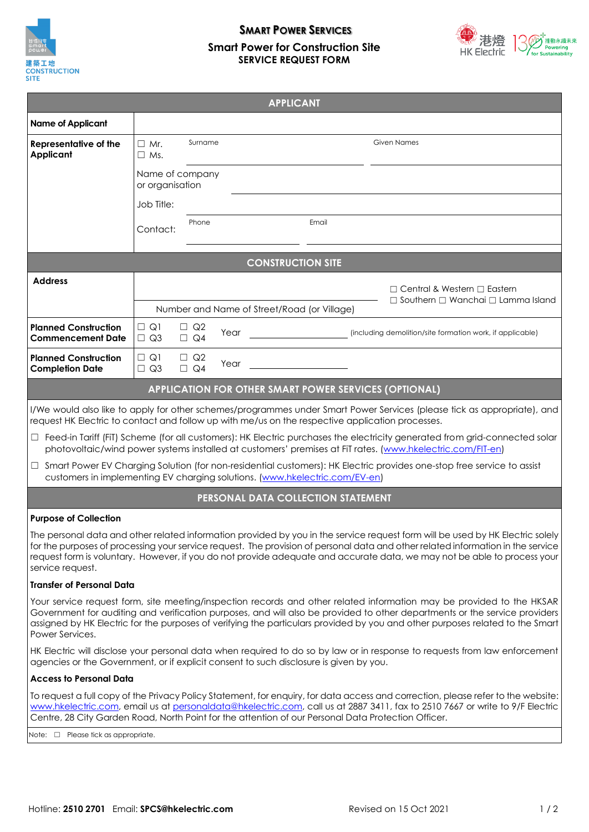

# **SMART POWER SERVICES Smart Power for Construction Site SERVICE REQUEST FORM**



|                                                                                                  |                                    |                        |      | <b>APPLICANT</b>                                                            |                                                                                                                                                                                                                                                 |
|--------------------------------------------------------------------------------------------------|------------------------------------|------------------------|------|-----------------------------------------------------------------------------|-------------------------------------------------------------------------------------------------------------------------------------------------------------------------------------------------------------------------------------------------|
| <b>Name of Applicant</b>                                                                         |                                    |                        |      |                                                                             |                                                                                                                                                                                                                                                 |
| Representative of the<br><b>Applicant</b>                                                        | $\Box$ Mr.<br>$\Box$ Ms.           | Surname                |      |                                                                             | <b>Given Names</b>                                                                                                                                                                                                                              |
|                                                                                                  | Name of company<br>or organisation |                        |      |                                                                             |                                                                                                                                                                                                                                                 |
|                                                                                                  | Job Title:                         |                        |      |                                                                             |                                                                                                                                                                                                                                                 |
|                                                                                                  | Contact:                           | Phone                  |      | Email                                                                       |                                                                                                                                                                                                                                                 |
|                                                                                                  |                                    |                        |      | <b>CONSTRUCTION SITE</b>                                                    |                                                                                                                                                                                                                                                 |
| <b>Address</b>                                                                                   |                                    |                        |      |                                                                             | $\Box$ Central & Western $\Box$ Eastern<br>$\Box$ Southern $\Box$ Wanchai $\Box$ Lamma Island                                                                                                                                                   |
|                                                                                                  |                                    |                        |      | Number and Name of Street/Road (or Village)                                 |                                                                                                                                                                                                                                                 |
| <b>Planned Construction</b><br><b>Commencement Date</b>                                          | $\Box$ Q1<br>$\Box$ Q3             | $\Box$ Q2<br>$\Box$ Q4 | Year |                                                                             | (including demolition/site formation work, if applicable)                                                                                                                                                                                       |
| <b>Planned Construction</b><br><b>Completion Date</b>                                            | $\Box$ Q1<br>$\Box$ Q3             | $\Box$ Q2<br>$\Box$ Q4 | Year |                                                                             |                                                                                                                                                                                                                                                 |
|                                                                                                  |                                    |                        |      | <b>APPLICATION FOR OTHER SMART POWER SERVICES (OPTIONAL)</b>                |                                                                                                                                                                                                                                                 |
| request HK Electric to contact and follow up with me/us on the respective application processes. |                                    |                        |      |                                                                             | I/We would also like to apply for other schemes/programmes under Smart Power Services (please tick as appropriate), and                                                                                                                         |
|                                                                                                  |                                    |                        |      |                                                                             | $\Box$ Feed-in Tariff (FiT) Scheme (for all customers): HK Electric purchases the electricity generated from grid-connected solar<br>photovoltaic/wind power systems installed at customers' premises at FiT rates. (www.hkelectric.com/FIT-en) |
| $\Box$                                                                                           |                                    |                        |      | customers in implementing EV charging solutions. (www.hkelectric.com/EV-en) | Smart Power EV Charging Solution (for non-residential customers): HK Electric provides one-stop free service to assist                                                                                                                          |

## **PERSONAL DATA COLLECTION STATEMENT**

#### **Purpose of Collection**

The personal data and other related information provided by you in the service request form will be used by HK Electric solely for the purposes of processing your service request. The provision of personal data and other related information in the service request form is voluntary. However, if you do not provide adequate and accurate data, we may not be able to process your service request.

#### **Transfer of Personal Data**

Your service request form, site meeting/inspection records and other related information may be provided to the HKSAR Government for auditing and verification purposes, and will also be provided to other departments or the service providers assigned by HK Electric for the purposes of verifying the particulars provided by you and other purposes related to the Smart Power Services.

HK Electric will disclose your personal data when required to do so by law or in response to requests from law enforcement agencies or the Government, or if explicit consent to such disclosure is given by you.

#### **Access to Personal Data**

To request a full copy of the Privacy Policy Statement, for enquiry, for data access and correction, please refer to the website: [www.hkelectric.com,](http://www.hkelectric.com/) email us at [personaldata@hkelectric.com,](mailto:personaldata@hkelectric.com) call us at 2887 3411, fax to 2510 7667 or write to 9/F Electric Centre, 28 City Garden Road, North Point for the attention of our Personal Data Protection Officer.

Note: □ Please tick as appropriate.